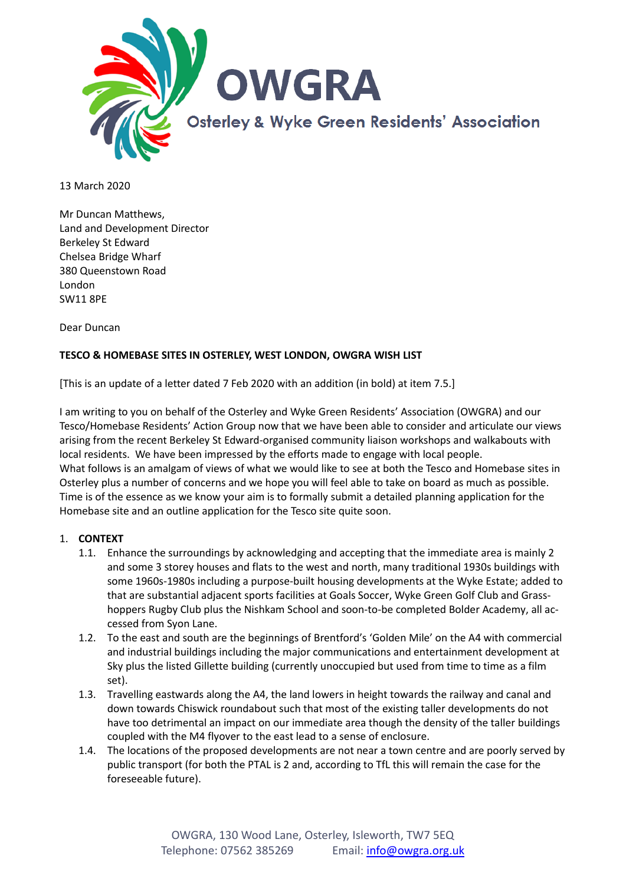

13 March 2020

Mr Duncan Matthews, Land and Development Director Berkeley St Edward Chelsea Bridge Wharf 380 Queenstown Road London SW11 8PE

Dear Duncan

# **TESCO & HOMEBASE SITES IN OSTERLEY, WEST LONDON, OWGRA WISH LIST**

[This is an update of a letter dated 7 Feb 2020 with an addition (in bold) at item 7.5.]

I am writing to you on behalf of the Osterley and Wyke Green Residents' Association (OWGRA) and our Tesco/Homebase Residents' Action Group now that we have been able to consider and articulate our views arising from the recent Berkeley St Edward-organised community liaison workshops and walkabouts with local residents. We have been impressed by the efforts made to engage with local people. What follows is an amalgam of views of what we would like to see at both the Tesco and Homebase sites in Osterley plus a number of concerns and we hope you will feel able to take on board as much as possible. Time is of the essence as we know your aim is to formally submit a detailed planning application for the Homebase site and an outline application for the Tesco site quite soon.

#### 1. **CONTEXT**

- 1.1. Enhance the surroundings by acknowledging and accepting that the immediate area is mainly 2 and some 3 storey houses and flats to the west and north, many traditional 1930s buildings with some 1960s-1980s including a purpose-built housing developments at the Wyke Estate; added to that are substantial adjacent sports facilities at Goals Soccer, Wyke Green Golf Club and Grasshoppers Rugby Club plus the Nishkam School and soon-to-be completed Bolder Academy, all accessed from Syon Lane.
- 1.2. To the east and south are the beginnings of Brentford's 'Golden Mile' on the A4 with commercial and industrial buildings including the major communications and entertainment development at Sky plus the listed Gillette building (currently unoccupied but used from time to time as a film set).
- 1.3. Travelling eastwards along the A4, the land lowers in height towards the railway and canal and down towards Chiswick roundabout such that most of the existing taller developments do not have too detrimental an impact on our immediate area though the density of the taller buildings coupled with the M4 flyover to the east lead to a sense of enclosure.
- 1.4. The locations of the proposed developments are not near a town centre and are poorly served by public transport (for both the PTAL is 2 and, according to TfL this will remain the case for the foreseeable future).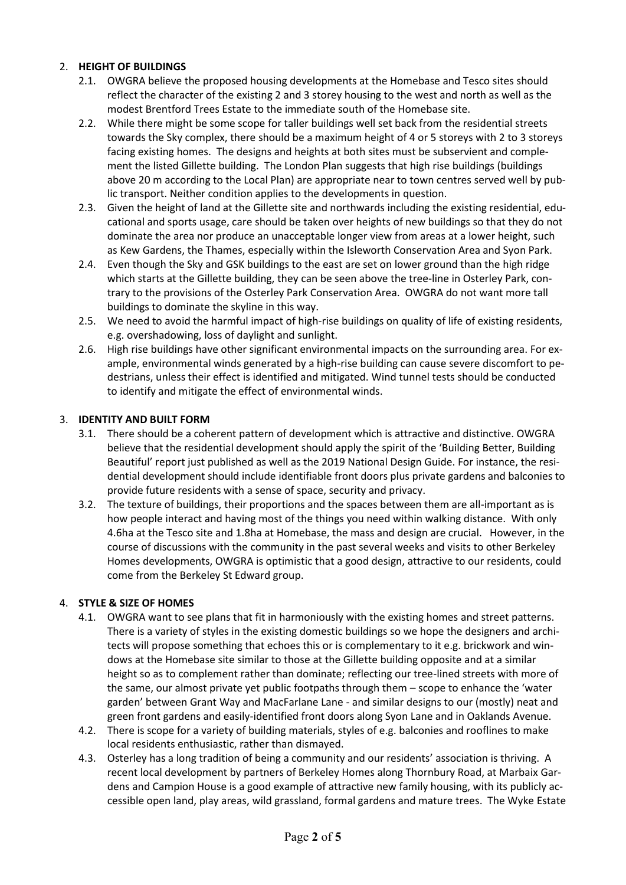# 2. **HEIGHT OF BUILDINGS**

- 2.1. OWGRA believe the proposed housing developments at the Homebase and Tesco sites should reflect the character of the existing 2 and 3 storey housing to the west and north as well as the modest Brentford Trees Estate to the immediate south of the Homebase site.
- 2.2. While there might be some scope for taller buildings well set back from the residential streets towards the Sky complex, there should be a maximum height of 4 or 5 storeys with 2 to 3 storeys facing existing homes. The designs and heights at both sites must be subservient and complement the listed Gillette building. The London Plan suggests that high rise buildings (buildings above 20 m according to the Local Plan) are appropriate near to town centres served well by public transport. Neither condition applies to the developments in question.
- 2.3. Given the height of land at the Gillette site and northwards including the existing residential, educational and sports usage, care should be taken over heights of new buildings so that they do not dominate the area nor produce an unacceptable longer view from areas at a lower height, such as Kew Gardens, the Thames, especially within the Isleworth Conservation Area and Syon Park.
- 2.4. Even though the Sky and GSK buildings to the east are set on lower ground than the high ridge which starts at the Gillette building, they can be seen above the tree-line in Osterley Park, contrary to the provisions of the Osterley Park Conservation Area. OWGRA do not want more tall buildings to dominate the skyline in this way.
- 2.5. We need to avoid the harmful impact of high-rise buildings on quality of life of existing residents, e.g. overshadowing, loss of daylight and sunlight.
- 2.6. High rise buildings have other significant environmental impacts on the surrounding area. For example, environmental winds generated by a high-rise building can cause severe discomfort to pedestrians, unless their effect is identified and mitigated. Wind tunnel tests should be conducted to identify and mitigate the effect of environmental winds.

# 3. **IDENTITY AND BUILT FORM**

- 3.1. There should be a coherent pattern of development which is attractive and distinctive. OWGRA believe that the residential development should apply the spirit of the 'Building Better, Building Beautiful' report just published as well as the 2019 National Design Guide. For instance, the residential development should include identifiable front doors plus private gardens and balconies to provide future residents with a sense of space, security and privacy.
- 3.2. The texture of buildings, their proportions and the spaces between them are all-important as is how people interact and having most of the things you need within walking distance. With only 4.6ha at the Tesco site and 1.8ha at Homebase, the mass and design are crucial. However, in the course of discussions with the community in the past several weeks and visits to other Berkeley Homes developments, OWGRA is optimistic that a good design, attractive to our residents, could come from the Berkeley St Edward group.

# 4. **STYLE & SIZE OF HOMES**

- 4.1. OWGRA want to see plans that fit in harmoniously with the existing homes and street patterns. There is a variety of styles in the existing domestic buildings so we hope the designers and architects will propose something that echoes this or is complementary to it e.g. brickwork and windows at the Homebase site similar to those at the Gillette building opposite and at a similar height so as to complement rather than dominate; reflecting our tree-lined streets with more of the same, our almost private yet public footpaths through them – scope to enhance the 'water garden' between Grant Way and MacFarlane Lane - and similar designs to our (mostly) neat and green front gardens and easily-identified front doors along Syon Lane and in Oaklands Avenue.
- 4.2. There is scope for a variety of building materials, styles of e.g. balconies and rooflines to make local residents enthusiastic, rather than dismayed.
- 4.3. Osterley has a long tradition of being a community and our residents' association is thriving. A recent local development by partners of Berkeley Homes along Thornbury Road, at Marbaix Gardens and Campion House is a good example of attractive new family housing, with its publicly accessible open land, play areas, wild grassland, formal gardens and mature trees. The Wyke Estate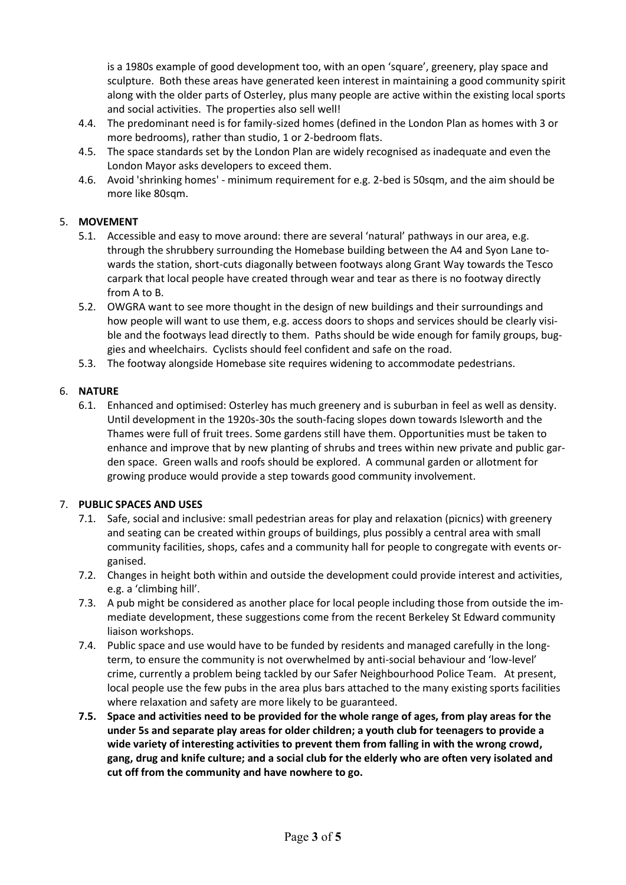is a 1980s example of good development too, with an open 'square', greenery, play space and sculpture. Both these areas have generated keen interest in maintaining a good community spirit along with the older parts of Osterley, plus many people are active within the existing local sports and social activities. The properties also sell well!

- 4.4. The predominant need is for family-sized homes (defined in the London Plan as homes with 3 or more bedrooms), rather than studio, 1 or 2-bedroom flats.
- 4.5. The space standards set by the London Plan are widely recognised as inadequate and even the London Mayor asks developers to exceed them.
- 4.6. Avoid 'shrinking homes' minimum requirement for e.g. 2-bed is 50sqm, and the aim should be more like 80sqm.

# 5. **MOVEMENT**

- 5.1. Accessible and easy to move around: there are several 'natural' pathways in our area, e.g. through the shrubbery surrounding the Homebase building between the A4 and Syon Lane towards the station, short-cuts diagonally between footways along Grant Way towards the Tesco carpark that local people have created through wear and tear as there is no footway directly from A to B.
- 5.2. OWGRA want to see more thought in the design of new buildings and their surroundings and how people will want to use them, e.g. access doors to shops and services should be clearly visible and the footways lead directly to them. Paths should be wide enough for family groups, buggies and wheelchairs. Cyclists should feel confident and safe on the road.
- 5.3. The footway alongside Homebase site requires widening to accommodate pedestrians.

# 6. **NATURE**

6.1. Enhanced and optimised: Osterley has much greenery and is suburban in feel as well as density. Until development in the 1920s-30s the south-facing slopes down towards Isleworth and the Thames were full of fruit trees. Some gardens still have them. Opportunities must be taken to enhance and improve that by new planting of shrubs and trees within new private and public garden space. Green walls and roofs should be explored. A communal garden or allotment for growing produce would provide a step towards good community involvement.

# 7. **PUBLIC SPACES AND USES**

- 7.1. Safe, social and inclusive: small pedestrian areas for play and relaxation (picnics) with greenery and seating can be created within groups of buildings, plus possibly a central area with small community facilities, shops, cafes and a community hall for people to congregate with events organised.
- 7.2. Changes in height both within and outside the development could provide interest and activities, e.g. a 'climbing hill'.
- 7.3. A pub might be considered as another place for local people including those from outside the immediate development, these suggestions come from the recent Berkeley St Edward community liaison workshops.
- 7.4. Public space and use would have to be funded by residents and managed carefully in the longterm, to ensure the community is not overwhelmed by anti-social behaviour and 'low-level' crime, currently a problem being tackled by our Safer Neighbourhood Police Team. At present, local people use the few pubs in the area plus bars attached to the many existing sports facilities where relaxation and safety are more likely to be guaranteed.
- **7.5. Space and activities need to be provided for the whole range of ages, from play areas for the under 5s and separate play areas for older children; a youth club for teenagers to provide a wide variety of interesting activities to prevent them from falling in with the wrong crowd, gang, drug and knife culture; and a social club for the elderly who are often very isolated and cut off from the community and have nowhere to go.**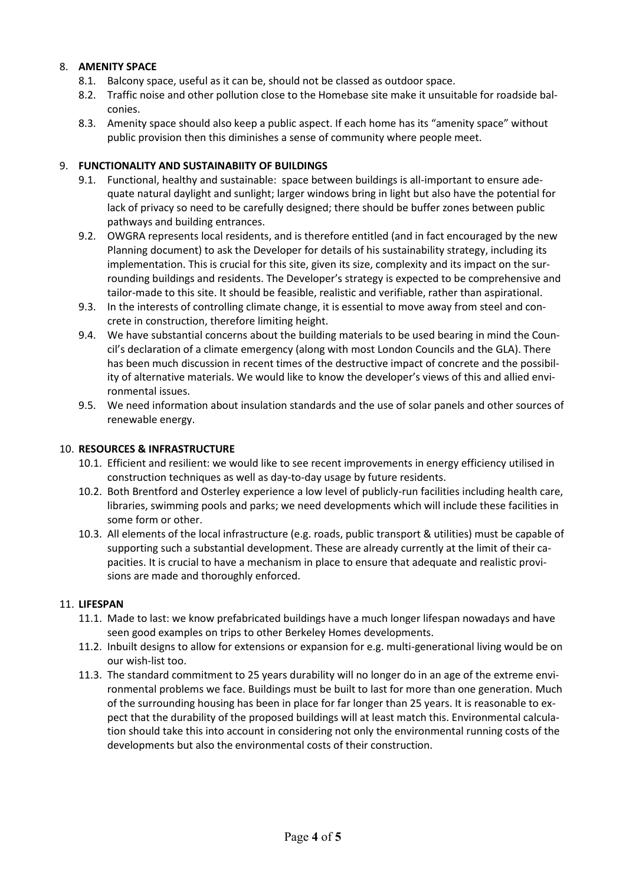# 8. **AMENITY SPACE**

- 8.1. Balcony space, useful as it can be, should not be classed as outdoor space.
- 8.2. Traffic noise and other pollution close to the Homebase site make it unsuitable for roadside balconies.
- 8.3. Amenity space should also keep a public aspect. If each home has its "amenity space" without public provision then this diminishes a sense of community where people meet.

#### 9. **FUNCTIONALITY AND SUSTAINABIITY OF BUILDINGS**

- 9.1. Functional, healthy and sustainable: space between buildings is all-important to ensure adequate natural daylight and sunlight; larger windows bring in light but also have the potential for lack of privacy so need to be carefully designed; there should be buffer zones between public pathways and building entrances.
- 9.2. OWGRA represents local residents, and is therefore entitled (and in fact encouraged by the new Planning document) to ask the Developer for details of his sustainability strategy, including its implementation. This is crucial for this site, given its size, complexity and its impact on the surrounding buildings and residents. The Developer's strategy is expected to be comprehensive and tailor-made to this site. It should be feasible, realistic and verifiable, rather than aspirational.
- 9.3. In the interests of controlling climate change, it is essential to move away from steel and concrete in construction, therefore limiting height.
- 9.4. We have substantial concerns about the building materials to be used bearing in mind the Council's declaration of a climate emergency (along with most London Councils and the GLA). There has been much discussion in recent times of the destructive impact of concrete and the possibility of alternative materials. We would like to know the developer's views of this and allied environmental issues.
- 9.5. We need information about insulation standards and the use of solar panels and other sources of renewable energy.

#### 10. **RESOURCES & INFRASTRUCTURE**

- 10.1. Efficient and resilient: we would like to see recent improvements in energy efficiency utilised in construction techniques as well as day-to-day usage by future residents.
- 10.2. Both Brentford and Osterley experience a low level of publicly-run facilities including health care, libraries, swimming pools and parks; we need developments which will include these facilities in some form or other.
- 10.3. All elements of the local infrastructure (e.g. roads, public transport & utilities) must be capable of supporting such a substantial development. These are already currently at the limit of their capacities. It is crucial to have a mechanism in place to ensure that adequate and realistic provisions are made and thoroughly enforced.

#### 11. **LIFESPAN**

- 11.1. Made to last: we know prefabricated buildings have a much longer lifespan nowadays and have seen good examples on trips to other Berkeley Homes developments.
- 11.2. Inbuilt designs to allow for extensions or expansion for e.g. multi-generational living would be on our wish-list too.
- 11.3. The standard commitment to 25 years durability will no longer do in an age of the extreme environmental problems we face. Buildings must be built to last for more than one generation. Much of the surrounding housing has been in place for far longer than 25 years. It is reasonable to expect that the durability of the proposed buildings will at least match this. Environmental calculation should take this into account in considering not only the environmental running costs of the developments but also the environmental costs of their construction.